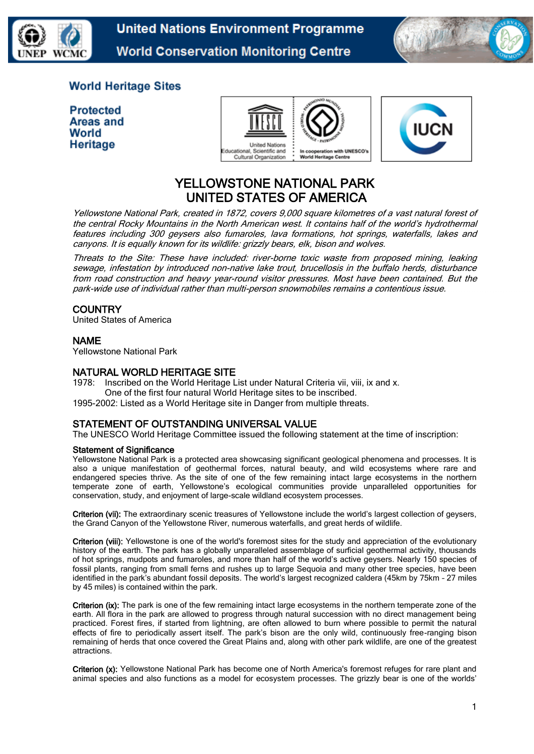

**United Nations Environment Programme World Conservation Monitoring Centre** 



## **World Heritage Sites**

| <b>Protected</b> |
|------------------|
| Areas and        |
| World            |
| Heritage         |





## YELLOWSTONE NATIONAL PARK UNITED STATES OF AMERICA

Yellowstone National Park, created in 1872, covers 9,000 square kilometres of a vast natural forest of the central Rocky Mountains in the North American west. It contains half of the world's hydrothermal features including 300 geysers also fumaroles, lava formations, hot springs, waterfalls, lakes and canyons. It is equally known for its wildlife: grizzly bears, elk, bison and wolves.

Threats to the Site: These have included: river-borne toxic waste from proposed mining, leaking sewage, infestation by introduced non-native lake trout, brucellosis in the buffalo herds, disturbance from road construction and heavy year-round visitor pressures. Most have been contained. But the park-wide use of individual rather than multi-person snowmobiles remains a contentious issue.

## **COUNTRY**

United States of America

### NAME

Yellowstone National Park

#### NATURAL WORLD HERITAGE SITE

1978: Inscribed on the World Heritage List under Natural Criteria vii, viii, ix and x. One of the first four natural World Heritage sites to be inscribed.

1995-2002: Listed as a World Heritage site in Danger from multiple threats.

#### STATEMENT OF OUTSTANDING UNIVERSAL VALUE

The UNESCO World Heritage Committee issued the following statement at the time of inscription:

#### Statement of Significance

Yellowstone National Park is a protected area showcasing significant geological phenomena and processes. It is also a unique manifestation of geothermal forces, natural beauty, and wild ecosystems where rare and endangered species thrive. As the site of one of the few remaining intact large ecosystems in the northern temperate zone of earth, Yellowstone's ecological communities provide unparalleled opportunities for conservation, study, and enjoyment of large-scale wildland ecosystem processes.

Criterion (vii): The extraordinary scenic treasures of Yellowstone include the world's largest collection of geysers, the Grand Canyon of the Yellowstone River, numerous waterfalls, and great herds of wildlife.

Criterion (viii): Yellowstone is one of the world's foremost sites for the study and appreciation of the evolutionary history of the earth. The park has a globally unparalleled assemblage of surficial geothermal activity, thousands of hot springs, mudpots and fumaroles, and more than half of the world's active geysers. Nearly 150 species of fossil plants, ranging from small ferns and rushes up to large Sequoia and many other tree species, have been identified in the park's abundant fossil deposits. The world's largest recognized caldera (45km by 75km – 27 miles by 45 miles) is contained within the park.

Criterion (ix): The park is one of the few remaining intact large ecosystems in the northern temperate zone of the earth. All flora in the park are allowed to progress through natural succession with no direct management being practiced. Forest fires, if started from lightning, are often allowed to burn where possible to permit the natural effects of fire to periodically assert itself. The park's bison are the only wild, continuously free-ranging bison remaining of herds that once covered the Great Plains and, along with other park wildlife, are one of the greatest attractions.

Criterion (x): Yellowstone National Park has become one of North America's foremost refuges for rare plant and animal species and also functions as a model for ecosystem processes. The grizzly bear is one of the worlds'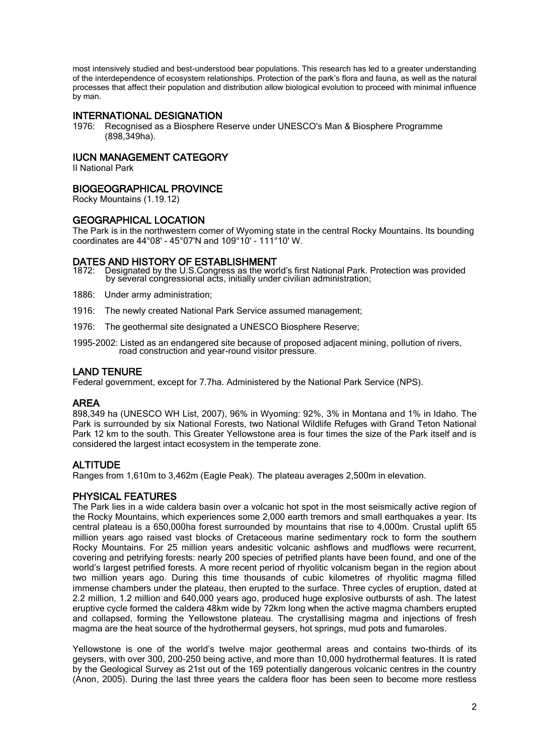most intensively studied and best-understood bear populations. This research has led to a greater understanding of the interdependence of ecosystem relationships. Protection of the park's flora and fauna, as well as the natural processes that affect their population and distribution allow biological evolution to proceed with minimal influence by man.

## INTERNATIONAL DESIGNATION

1976: Recognised as a Biosphere Reserve under UNESCO's Man & Biosphere Programme (898,349ha).

#### IUCN MANAGEMENT CATEGORY

II National Park

#### BIOGEOGRAPHICAL PROVINCE

Rocky Mountains (1.19.12)

#### GEOGRAPHICAL LOCATION

The Park is in the northwestern corner of Wyoming state in the central Rocky Mountains. Its bounding coordinates are 44°08' - 45°07'N and 109°10' - 111°10' W.

# **DATES AND HISTORY OF ESTABLISHMENT**<br>1872: Designated by the U.S.Congress as the world

1872: Designated by the U.S.Congress as the world's first National Park. Protection was provided by several congressional acts, initially under civilian administration;

- 1886: Under army administration;
- 1916: The newly created National Park Service assumed management;
- 1976: The geothermal site designated a UNESCO Biosphere Reserve;
- 1995-2002: Listed as an endangered site because of proposed adjacent mining, pollution of rivers, road construction and year-round visitor pressure.

#### LAND TENURE

Federal government, except for 7.7ha. Administered by the National Park Service (NPS).

#### AREA

898,349 ha (UNESCO WH List, 2007), 96% in Wyoming: 92%, 3% in Montana and 1% in Idaho. The Park is surrounded by six National Forests, two National Wildlife Refuges with Grand Teton National Park 12 km to the south. This Greater Yellowstone area is four times the size of the Park itself and is considered the largest intact ecosystem in the temperate zone.

## **ALTITUDE**

Ranges from 1,610m to 3,462m (Eagle Peak). The plateau averages 2,500m in elevation.

## PHYSICAL FEATURES

The Park lies in a wide caldera basin over a volcanic hot spot in the most seismically active region of the Rocky Mountains, which experiences some 2,000 earth tremors and small earthquakes a year. Its central plateau is a 650,000ha forest surrounded by mountains that rise to 4,000m. Crustal uplift 65 million years ago raised vast blocks of Cretaceous marine sedimentary rock to form the southern Rocky Mountains. For 25 million years andesitic volcanic ashflows and mudflows were recurrent, covering and petrifying forests: nearly 200 species of petrified plants have been found, and one of the world's largest petrified forests. A more recent period of rhyolitic volcanism began in the region about two million years ago. During this time thousands of cubic kilometres of rhyolitic magma filled immense chambers under the plateau, then erupted to the surface. Three cycles of eruption, dated at 2.2 million, 1.2 million and 640,000 years ago, produced huge explosive outbursts of ash. The latest eruptive cycle formed the caldera 48km wide by 72km long when the active magma chambers erupted and collapsed, forming the Yellowstone plateau. The crystallising magma and injections of fresh magma are the heat source of the hydrothermal geysers, hot springs, mud pots and fumaroles.

Yellowstone is one of the world's twelve major geothermal areas and contains two-thirds of its geysers, with over 300, 200-250 being active, and more than 10,000 hydrothermal features. It is rated by the Geological Survey as 21st out of the 169 potentially dangerous volcanic centres in the country (Anon, 2005). During the last three years the caldera floor has been seen to become more restless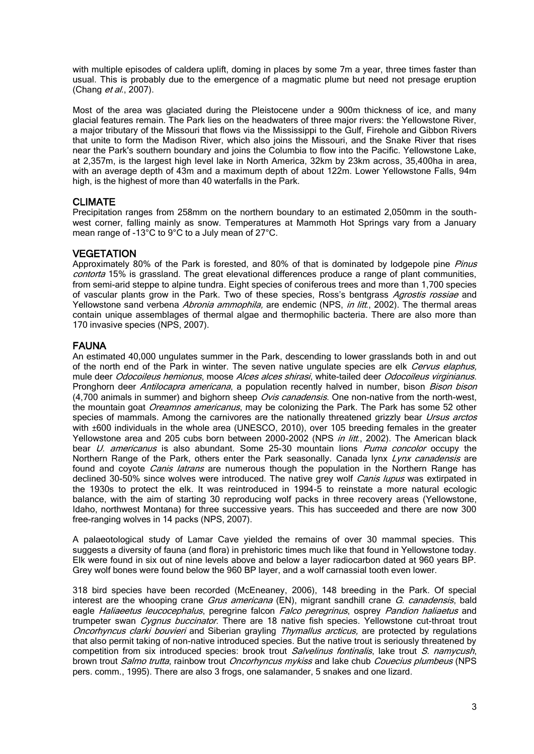with multiple episodes of caldera uplift, doming in places by some 7m a year, three times faster than usual. This is probably due to the emergence of a magmatic plume but need not presage eruption (Chang  $et al., 2007$ ).

Most of the area was glaciated during the Pleistocene under a 900m thickness of ice, and many glacial features remain. The Park lies on the headwaters of three major rivers: the Yellowstone River, a major tributary of the Missouri that flows via the Mississippi to the Gulf, Firehole and Gibbon Rivers that unite to form the Madison River, which also joins the Missouri, and the Snake River that rises near the Park's southern boundary and joins the Columbia to flow into the Pacific. Yellowstone Lake, at 2,357m, is the largest high level lake in North America, 32km by 23km across, 35,400ha in area, with an average depth of 43m and a maximum depth of about 122m. Lower Yellowstone Falls, 94m high, is the highest of more than 40 waterfalls in the Park.

## CLIMATE

Precipitation ranges from 258mm on the northern boundary to an estimated 2,050mm in the southwest corner, falling mainly as snow. Temperatures at Mammoth Hot Springs vary from a January mean range of -13°C to 9°C to a July mean of 27°C.

## **VEGETATION**

Approximately 80% of the Park is forested, and 80% of that is dominated by lodgepole pine *Pinus* contorta 15% is grassland. The great elevational differences produce a range of plant communities, from semi-arid steppe to alpine tundra. Eight species of coniferous trees and more than 1,700 species of vascular plants grow in the Park. Two of these species, Ross's bentgrass Agrostis rossiae and Yellowstone sand verbena Abronia ammophila, are endemic (NPS, in litt., 2002). The thermal areas contain unique assemblages of thermal algae and thermophilic bacteria. There are also more than 170 invasive species (NPS, 2007).

### FAUNA

An estimated 40,000 ungulates summer in the Park, descending to lower grasslands both in and out of the north end of the Park in winter. The seven native ungulate species are elk Cervus elaphus, mule deer Odocoileus hemionus, moose Alces alces shirasi, white-tailed deer Odocoileus virginianus. Pronghorn deer Antilocapra americana, a population recently halved in number, bison Bison bison (4,700 animals in summer) and bighorn sheep Ovis canadensis. One non-native from the north-west, the mountain goat *Oreamnos americanus*, may be colonizing the Park. The Park has some 52 other species of mammals. Among the carnivores are the nationally threatened grizzly bear *Ursus arctos* with ±600 individuals in the whole area (UNESCO, 2010), over 105 breeding females in the greater Yellowstone area and 205 cubs born between 2000-2002 (NPS *in litt.*, 2002). The American black bear *U. americanus* is also abundant. Some 25-30 mountain lions Puma concolor occupy the Northern Range of the Park, others enter the Park seasonally. Canada lynx Lynx canadensis are found and coyote *Canis latrans* are numerous though the population in the Northern Range has declined 30-50% since wolves were introduced. The native grey wolf Canis lupus was extirpated in the 1930s to protect the elk. It was reintroduced in 1994-5 to reinstate a more natural ecologic balance, with the aim of starting 30 reproducing wolf packs in three recovery areas (Yellowstone, Idaho, northwest Montana) for three successive years. This has succeeded and there are now 300 free-ranging wolves in 14 packs (NPS, 2007).

A palaeotological study of Lamar Cave yielded the remains of over 30 mammal species. This suggests a diversity of fauna (and flora) in prehistoric times much like that found in Yellowstone today. Elk were found in six out of nine levels above and below a layer radiocarbon dated at 960 years BP. Grey wolf bones were found below the 960 BP layer, and a wolf carnassial tooth even lower.

318 bird species have been recorded (McEneaney, 2006), 148 breeding in the Park. Of special interest are the whooping crane *Grus americana* (EN), migrant sandhill crane *G. canadensis*, bald eagle Haliaeetus leucocephalus, peregrine falcon Falco peregrinus, osprey Pandion haliaetus and trumpeter swan *Cygnus buccinator*. There are 18 native fish species. Yellowstone cut-throat trout Oncorhyncus clarki bouvieri and Siberian grayling Thymallus arcticus, are protected by regulations that also permit taking of non-native introduced species. But the native trout is seriously threatened by competition from six introduced species: brook trout Salvelinus fontinalis, lake trout S. namycush, brown trout Salmo trutta, rainbow trout Oncorhyncus mykiss and lake chub Couecius plumbeus (NPS pers. comm., 1995). There are also 3 frogs, one salamander, 5 snakes and one lizard.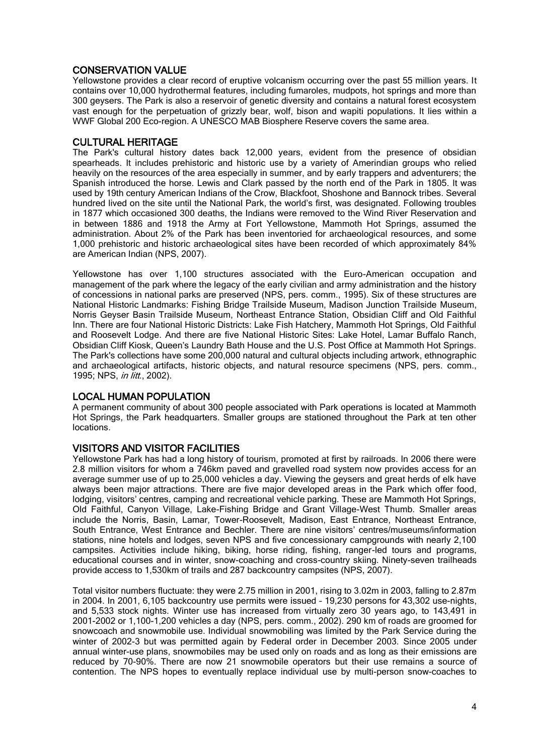## CONSERVATION VALUE

Yellowstone provides a clear record of eruptive volcanism occurring over the past 55 million years. It contains over 10,000 hydrothermal features, including fumaroles, mudpots, hot springs and more than 300 geysers. The Park is also a reservoir of genetic diversity and contains a natural forest ecosystem vast enough for the perpetuation of grizzly bear, wolf, bison and wapiti populations. It lies within a WWF Global 200 Eco-region. A UNESCO MAB Biosphere Reserve covers the same area.

#### CULTURAL HERITAGE

The Park's cultural history dates back 12,000 years, evident from the presence of obsidian spearheads. It includes prehistoric and historic use by a variety of Amerindian groups who relied heavily on the resources of the area especially in summer, and by early trappers and adventurers; the Spanish introduced the horse. Lewis and Clark passed by the north end of the Park in 1805. It was used by 19th century American Indians of the Crow, Blackfoot, Shoshone and Bannock tribes. Several hundred lived on the site until the National Park, the world's first, was designated. Following troubles in 1877 which occasioned 300 deaths, the Indians were removed to the Wind River Reservation and in between 1886 and 1918 the Army at Fort Yellowstone, Mammoth Hot Springs, assumed the administration. About 2% of the Park has been inventoried for archaeological resources, and some 1,000 prehistoric and historic archaeological sites have been recorded of which approximately 84% are American Indian (NPS, 2007).

Yellowstone has over 1,100 structures associated with the Euro-American occupation and management of the park where the legacy of the early civilian and army administration and the history of concessions in national parks are preserved (NPS, pers. comm., 1995). Six of these structures are National Historic Landmarks: Fishing Bridge Trailside Museum, Madison Junction Trailside Museum, Norris Geyser Basin Trailside Museum, Northeast Entrance Station, Obsidian Cliff and Old Faithful Inn. There are four National Historic Districts: Lake Fish Hatchery, Mammoth Hot Springs, Old Faithful and Roosevelt Lodge. And there are five National Historic Sites: Lake Hotel, Lamar Buffalo Ranch, Obsidian Cliff Kiosk, Queen's Laundry Bath House and the U.S. Post Office at Mammoth Hot Springs. The Park's collections have some 200,000 natural and cultural objects including artwork, ethnographic and archaeological artifacts, historic objects, and natural resource specimens (NPS, pers. comm., 1995; NPS, in litt., 2002).

#### LOCAL HUMAN POPULATION

A permanent community of about 300 people associated with Park operations is located at Mammoth Hot Springs, the Park headquarters. Smaller groups are stationed throughout the Park at ten other locations.

## VISITORS AND VISITOR FACILITIES

Yellowstone Park has had a long history of tourism, promoted at first by railroads. In 2006 there were 2.8 million visitors for whom a 746km paved and gravelled road system now provides access for an average summer use of up to 25,000 vehicles a day. Viewing the geysers and great herds of elk have always been major attractions. There are five major developed areas in the Park which offer food, lodging, visitors' centres, camping and recreational vehicle parking. These are Mammoth Hot Springs, Old Faithful, Canyon Village, Lake-Fishing Bridge and Grant Village-West Thumb. Smaller areas include the Norris, Basin, Lamar, Tower-Roosevelt, Madison, East Entrance, Northeast Entrance, South Entrance, West Entrance and Bechler. There are nine visitors' centres/museums/information stations, nine hotels and lodges, seven NPS and five concessionary campgrounds with nearly 2,100 campsites. Activities include hiking, biking, horse riding, fishing, ranger-led tours and programs, educational courses and in winter, snow-coaching and cross-country skiing. Ninety-seven trailheads provide access to 1,530km of trails and 287 backcountry campsites (NPS, 2007).

Total visitor numbers fluctuate: they were 2.75 million in 2001, rising to 3.02m in 2003, falling to 2.87m in 2004. In 2001, 6,105 backcountry use permits were issued – 19,230 persons for 43,302 use-nights, and 5,533 stock nights. Winter use has increased from virtually zero 30 years ago, to 143,491 in 2001-2002 or 1,100-1,200 vehicles a day (NPS, pers. comm., 2002). 290 km of roads are groomed for snowcoach and snowmobile use. Individual snowmobiling was limited by the Park Service during the winter of 2002-3 but was permitted again by Federal order in December 2003. Since 2005 under annual winter-use plans, snowmobiles may be used only on roads and as long as their emissions are reduced by 70-90%. There are now 21 snowmobile operators but their use remains a source of contention. The NPS hopes to eventually replace individual use by multi-person snow-coaches to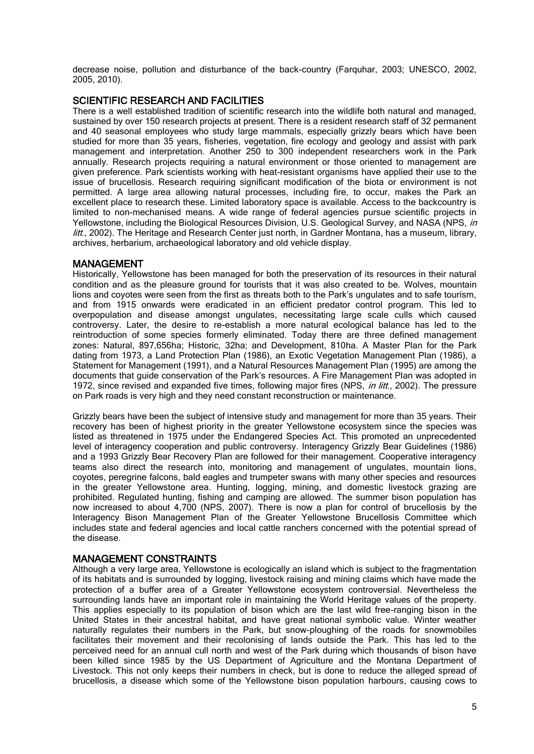decrease noise, pollution and disturbance of the back-country (Farquhar, 2003; UNESCO, 2002, 2005, 2010).

#### SCIENTIFIC RESEARCH AND FACILITIES

There is a well established tradition of scientific research into the wildlife both natural and managed, sustained by over 150 research projects at present. There is a resident research staff of 32 permanent and 40 seasonal employees who study large mammals, especially grizzly bears which have been studied for more than 35 years, fisheries, vegetation, fire ecology and geology and assist with park management and interpretation. Another 250 to 300 independent researchers work in the Park annually. Research projects requiring a natural environment or those oriented to management are given preference. Park scientists working with heat-resistant organisms have applied their use to the issue of brucellosis. Research requiring significant modification of the biota or environment is not permitted. A large area allowing natural processes, including fire, to occur, makes the Park an excellent place to research these. Limited laboratory space is available. Access to the backcountry is limited to non-mechanised means. A wide range of federal agencies pursue scientific projects in Yellowstone, including the Biological Resources Division, U.S. Geological Survey, and NASA (NPS, in litt., 2002). The Heritage and Research Center just north, in Gardner Montana, has a museum, library, archives, herbarium, archaeological laboratory and old vehicle display.

#### MANAGEMENT

Historically, Yellowstone has been managed for both the preservation of its resources in their natural condition and as the pleasure ground for tourists that it was also created to be. Wolves, mountain lions and coyotes were seen from the first as threats both to the Park's ungulates and to safe tourism, and from 1915 onwards were eradicated in an efficient predator control program. This led to overpopulation and disease amongst ungulates, necessitating large scale culls which caused controversy. Later, the desire to re-establish a more natural ecological balance has led to the reintroduction of some species formerly eliminated. Today there are three defined management zones: Natural, 897,656ha; Historic, 32ha; and Development, 810ha. A Master Plan for the Park dating from 1973, a Land Protection Plan (1986), an Exotic Vegetation Management Plan (1986), a Statement for Management (1991), and a Natural Resources Management Plan (1995) are among the documents that guide conservation of the Park's resources. A Fire Management Plan was adopted in 1972, since revised and expanded five times, following major fires (NPS, *in litt.*, 2002). The pressure on Park roads is very high and they need constant reconstruction or maintenance.

Grizzly bears have been the subject of intensive study and management for more than 35 years. Their recovery has been of highest priority in the greater Yellowstone ecosystem since the species was listed as threatened in 1975 under the Endangered Species Act. This promoted an unprecedented level of interagency cooperation and public controversy. Interagency Grizzly Bear Guidelines (1986) and a 1993 Grizzly Bear Recovery Plan are followed for their management. Cooperative interagency teams also direct the research into, monitoring and management of ungulates, mountain lions, coyotes, peregrine falcons, bald eagles and trumpeter swans with many other species and resources in the greater Yellowstone area. Hunting, logging, mining, and domestic livestock grazing are prohibited. Regulated hunting, fishing and camping are allowed. The summer bison population has now increased to about 4,700 (NPS, 2007). There is now a plan for control of brucellosis by the Interagency Bison Management Plan of the Greater Yellowstone Brucellosis Committee which includes state and federal agencies and local cattle ranchers concerned with the potential spread of the disease.

#### MANAGEMENT CONSTRAINTS

Although a very large area, Yellowstone is ecologically an island which is subject to the fragmentation of its habitats and is surrounded by logging, livestock raising and mining claims which have made the protection of a buffer area of a Greater Yellowstone ecosystem controversial. Nevertheless the surrounding lands have an important role in maintaining the World Heritage values of the property. This applies especially to its population of bison which are the last wild free-ranging bison in the United States in their ancestral habitat, and have great national symbolic value. Winter weather naturally regulates their numbers in the Park, but snow-ploughing of the roads for snowmobiles facilitates their movement and their recolonising of lands outside the Park. This has led to the perceived need for an annual cull north and west of the Park during which thousands of bison have been killed since 1985 by the US Department of Agriculture and the Montana Department of Livestock. This not only keeps their numbers in check, but is done to reduce the alleged spread of brucellosis, a disease which some of the Yellowstone bison population harbours, causing cows to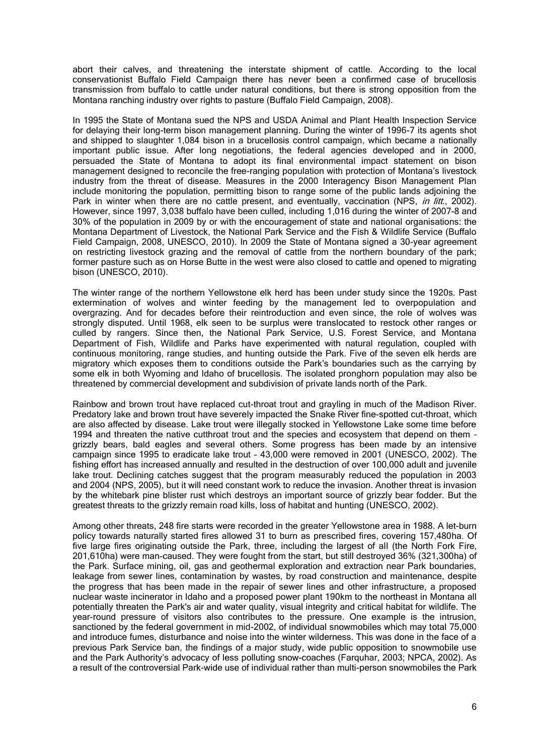abort their calves, and threatening the interstate shipment of cattle. According to the local conservationist Buffalo Field Campaign there has never been a confirmed case of brucellosis transmission from buffalo to cattle under natural conditions, but there is strong opposition from the Montana ranching industry over rights to pasture (Buffalo Field Campaign, 2008).

In 1995 the State of Montana sued the NPS and USDA Animal and Plant Health Inspection Service for delaying their long-term bison management planning. During the winter of 1996-7 its agents shot and shipped to slaughter 1,084 bison in a brucellosis control campaign, which became a nationally important public issue. After long negotiations, the federal agencies developed and in 2000, persuaded the State of Montana to adopt its final environmental impact statement on bison management designed to reconcile the free-ranging population with protection of Montana's livestock industry from the threat of disease. Measures in the 2000 Interagency Bison Management Plan include monitoring the population, permitting bison to range some of the public lands adjoining the Park in winter when there are no cattle present, and eventually, vaccination (NPS, in litt., 2002). However, since 1997, 3,038 buffalo have been culled, including 1,016 during the winter of 2007-8 and 30% of the population in 2009 by or with the encouragement of state and national organisations: the Montana Department of Livestock, the National Park Service and the Fish & Wildlife Service (Buffalo Field Campaign, 2008, UNESCO, 2010). In 2009 the State of Montana signed a 30-year agreement on restricting livestock grazing and the removal of cattle from the northern boundary of the park; former pasture such as on Horse Butte in the west were also closed to cattle and opened to migrating bison (UNESCO, 2010).

The winter range of the northern Yellowstone elk herd has been under study since the 1920s. Past extermination of wolves and winter feeding by the management led to overpopulation and overgrazing. And for decades before their reintroduction and even since, the role of wolves was strongly disputed. Until 1968, elk seen to be surplus were translocated to restock other ranges or culled by rangers. Since then, the National Park Service, U.S. Forest Service, and Montana Department of Fish, Wildlife and Parks have experimented with natural regulation, coupled with continuous monitoring, range studies, and hunting outside the Park. Five of the seven elk herds are migratory which exposes them to conditions outside the Park's boundaries such as the carrying by some elk in both Wyoming and Idaho of brucellosis. The isolated pronghorn population may also be threatened by commercial development and subdivision of private lands north of the Park.

Rainbow and brown trout have replaced cut-throat trout and grayling in much of the Madison River. Predatory lake and brown trout have severely impacted the Snake River fine-spotted cut-throat, which are also affected by disease. Lake trout were illegally stocked in Yellowstone Lake some time before 1994 and threaten the native cutthroat trout and the species and ecosystem that depend on them – grizzly bears, bald eagles and several others. Some progress has been made by an intensive campaign since 1995 to eradicate lake trout - 43,000 were removed in 2001 (UNESCO, 2002). The fishing effort has increased annually and resulted in the destruction of over 100,000 adult and juvenile lake trout. Declining catches suggest that the program measurably reduced the population in 2003 and 2004 (NPS, 2005), but it will need constant work to reduce the invasion. Another threat is invasion by the whitebark pine blister rust which destroys an important source of grizzly bear fodder. But the greatest threats to the grizzly remain road kills, loss of habitat and hunting (UNESCO, 2002).

Among other threats, 248 fire starts were recorded in the greater Yellowstone area in 1988. A let-burn policy towards naturally started fires allowed 31 to burn as prescribed fires, covering 157,480ha. Of five large fires originating outside the Park, three, including the largest of all (the North Fork Fire, 201,610ha) were man-caused. They were fought from the start, but still destroyed 36% (321,300ha) of the Park. Surface mining, oil, gas and geothermal exploration and extraction near Park boundaries, leakage from sewer lines, contamination by wastes, by road construction and maintenance, despite the progress that has been made in the repair of sewer lines and other infrastructure, a proposed nuclear waste incinerator in Idaho and a proposed power plant 190km to the northeast in Montana all potentially threaten the Park's air and water quality, visual integrity and critical habitat for wildlife. The year-round pressure of visitors also contributes to the pressure. One example is the intrusion, sanctioned by the federal government in mid-2002, of individual snowmobiles which may total 75,000 and introduce fumes, disturbance and noise into the winter wilderness. This was done in the face of a previous Park Service ban, the findings of a major study, wide public opposition to snowmobile use and the Park Authority's advocacy of less polluting snow-coaches (Farquhar, 2003; NPCA, 2002). As a result of the controversial Park-wide use of individual rather than multi-person snowmobiles the Park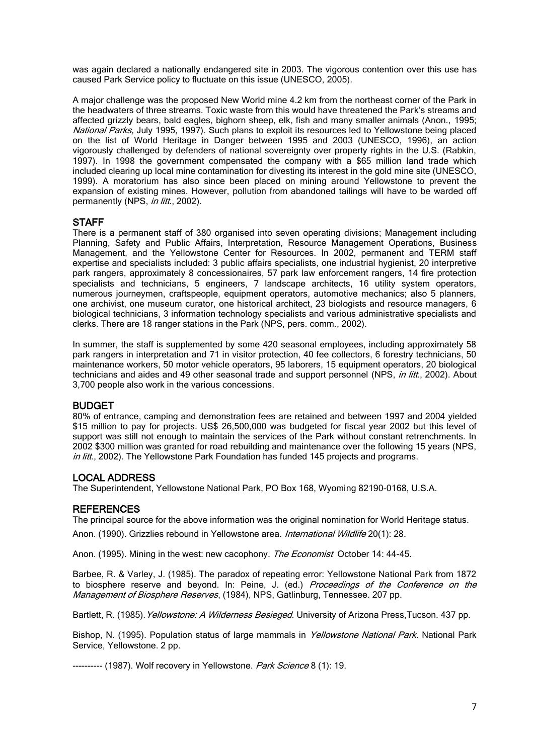was again declared a nationally endangered site in 2003. The vigorous contention over this use has caused Park Service policy to fluctuate on this issue (UNESCO, 2005).

A major challenge was the proposed New World mine 4.2 km from the northeast corner of the Park in the headwaters of three streams. Toxic waste from this would have threatened the Park's streams and affected grizzly bears, bald eagles, bighorn sheep, elk, fish and many smaller animals (Anon., 1995; National Parks, July 1995, 1997). Such plans to exploit its resources led to Yellowstone being placed on the list of World Heritage in Danger between 1995 and 2003 (UNESCO, 1996), an action vigorously challenged by defenders of national sovereignty over property rights in the U.S. (Rabkin, 1997). In 1998 the government compensated the company with a \$65 million land trade which included clearing up local mine contamination for divesting its interest in the gold mine site (UNESCO, 1999). A moratorium has also since been placed on mining around Yellowstone to prevent the expansion of existing mines. However, pollution from abandoned tailings will have to be warded off permanently (NPS, in litt., 2002).

## **STAFF**

There is a permanent staff of 380 organised into seven operating divisions; Management including Planning, Safety and Public Affairs, Interpretation, Resource Management Operations, Business Management, and the Yellowstone Center for Resources. In 2002, permanent and TERM staff expertise and specialists included: 3 public affairs specialists, one industrial hygienist, 20 interpretive park rangers, approximately 8 concessionaires, 57 park law enforcement rangers, 14 fire protection specialists and technicians, 5 engineers, 7 landscape architects, 16 utility system operators, numerous journeymen, craftspeople, equipment operators, automotive mechanics; also 5 planners, one archivist, one museum curator, one historical architect, 23 biologists and resource managers, 6 biological technicians, 3 information technology specialists and various administrative specialists and clerks. There are 18 ranger stations in the Park (NPS, pers. comm., 2002).

In summer, the staff is supplemented by some 420 seasonal employees, including approximately 58 park rangers in interpretation and 71 in visitor protection, 40 fee collectors, 6 forestry technicians, 50 maintenance workers, 50 motor vehicle operators, 95 laborers, 15 equipment operators, 20 biological technicians and aides and 49 other seasonal trade and support personnel (NPS, in litt., 2002). About 3,700 people also work in the various concessions.

## BUDGET

80% of entrance, camping and demonstration fees are retained and between 1997 and 2004 yielded \$15 million to pay for projects. US\$ 26,500,000 was budgeted for fiscal year 2002 but this level of support was still not enough to maintain the services of the Park without constant retrenchments. In 2002 \$300 million was granted for road rebuilding and maintenance over the following 15 years (NPS, in litt., 2002). The Yellowstone Park Foundation has funded 145 projects and programs.

## LOCAL ADDRESS

The Superintendent, Yellowstone National Park, PO Box 168, Wyoming 82190-0168, U.S.A.

## **REFERENCES**

The principal source for the above information was the original nomination for World Heritage status. Anon. (1990). Grizzlies rebound in Yellowstone area. International Wildlife 20(1): 28.

Anon. (1995). Mining in the west: new cacophony. The Economist October 14: 44-45.

Barbee, R. & Varley, J. (1985). The paradox of repeating error: Yellowstone National Park from 1872 to biosphere reserve and beyond. In: Peine, J. (ed.) Proceedings of the Conference on the Management of Biosphere Reserves, (1984), NPS, Gatlinburg, Tennessee. 207 pp.

Bartlett, R. (1985). Yellowstone: A Wilderness Besieged. University of Arizona Press, Tucson. 437 pp.

Bishop, N. (1995). Population status of large mammals in *Yellowstone National Park*. National Park Service, Yellowstone. 2 pp.

---------- (1987). Wolf recovery in Yellowstone. Park Science 8 (1): 19.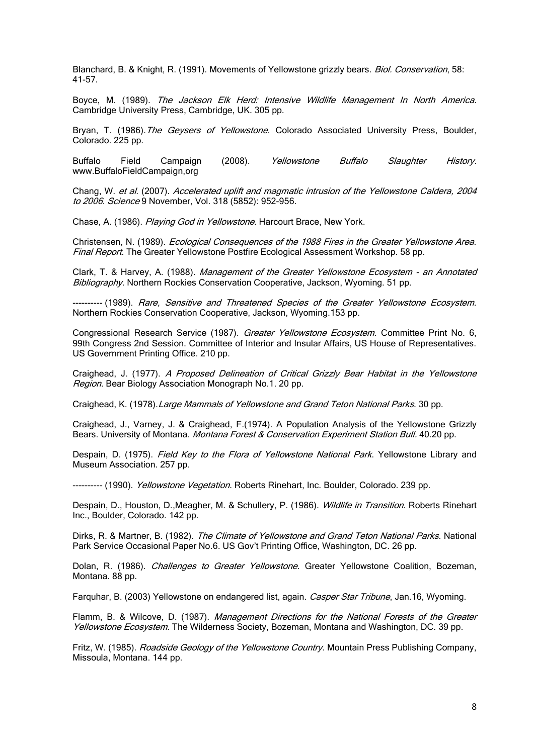Blanchard, B. & Knight, R. (1991). Movements of Yellowstone grizzly bears. Biol. Conservation, 58: 41-57.

Boyce, M. (1989). The Jackson Elk Herd: Intensive Wildlife Management In North America. Cambridge University Press, Cambridge, UK. 305 pp.

Bryan, T. (1986). The Geysers of Yellowstone. Colorado Associated University Press, Boulder, Colorado. 225 pp.

Buffalo Field Campaign (2008). Yellowstone Buffalo Slaughter History. www.BuffaloFieldCampaign,org

Chang, W. et al. (2007). Accelerated uplift and magmatic intrusion of the Yellowstone Caldera, 2004 to 2006. Science 9 November, Vol. 318 (5852): 952-956.

Chase, A. (1986). Playing God in Yellowstone. Harcourt Brace, New York.

Christensen, N. (1989). Ecological Consequences of the 1988 Fires in the Greater Yellowstone Area. Final Report. The Greater Yellowstone Postfire Ecological Assessment Workshop. 58 pp.

Clark, T. & Harvey, A. (1988). Management of the Greater Yellowstone Ecosystem - an Annotated Bibliography. Northern Rockies Conservation Cooperative, Jackson, Wyoming. 51 pp.

---------- (1989). Rare, Sensitive and Threatened Species of the Greater Yellowstone Ecosystem. Northern Rockies Conservation Cooperative, Jackson, Wyoming.153 pp.

Congressional Research Service (1987). Greater Yellowstone Ecosystem. Committee Print No. 6, 99th Congress 2nd Session. Committee of Interior and Insular Affairs, US House of Representatives. US Government Printing Office. 210 pp.

Craighead, J. (1977). A Proposed Delineation of Critical Grizzly Bear Habitat in the Yellowstone Region. Bear Biology Association Monograph No.1. 20 pp.

Craighead, K. (1978).Large Mammals of Yellowstone and Grand Teton National Parks. 30 pp.

Craighead, J., Varney, J. & Craighead, F.(1974). A Population Analysis of the Yellowstone Grizzly Bears. University of Montana. Montana Forest & Conservation Experiment Station Bull. 40.20 pp.

Despain, D. (1975). Field Key to the Flora of Yellowstone National Park. Yellowstone Library and Museum Association. 257 pp.

---------- (1990). Yellowstone Vegetation. Roberts Rinehart, Inc. Boulder, Colorado. 239 pp.

Despain, D., Houston, D., Meagher, M. & Schullery, P. (1986). Wildlife in Transition. Roberts Rinehart Inc., Boulder, Colorado. 142 pp.

Dirks, R. & Martner, B. (1982). The Climate of Yellowstone and Grand Teton National Parks. National Park Service Occasional Paper No.6. US Gov't Printing Office, Washington, DC. 26 pp.

Dolan, R. (1986). Challenges to Greater Yellowstone. Greater Yellowstone Coalition, Bozeman, Montana. 88 pp.

Farquhar, B. (2003) Yellowstone on endangered list, again. Casper Star Tribune, Jan.16, Wyoming.

Flamm, B. & Wilcove, D. (1987). Management Directions for the National Forests of the Greater Yellowstone Ecosystem. The Wilderness Society, Bozeman, Montana and Washington, DC. 39 pp.

Fritz, W. (1985). Roadside Geology of the Yellowstone Country. Mountain Press Publishing Company, Missoula, Montana. 144 pp.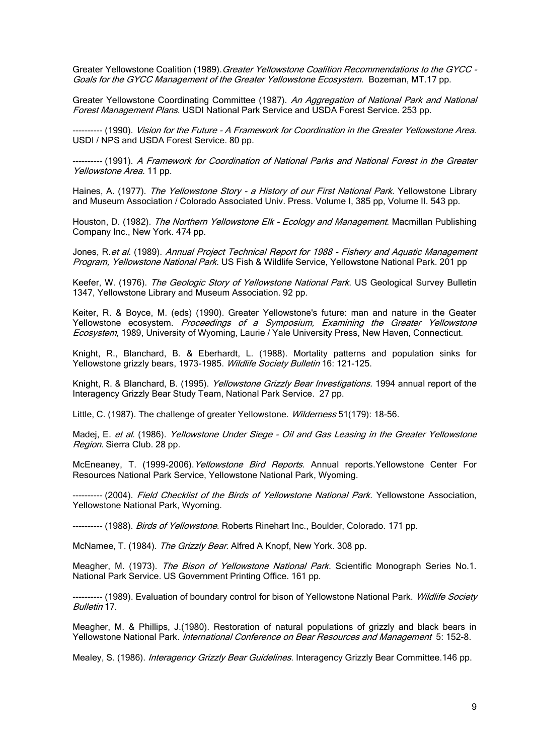Greater Yellowstone Coalition (1989). Greater Yellowstone Coalition Recommendations to the GYCC -Goals for the GYCC Management of the Greater Yellowstone Ecosystem. Bozeman, MT.17 pp.

Greater Yellowstone Coordinating Committee (1987). An Aggregation of National Park and National Forest Management Plans. USDI National Park Service and USDA Forest Service. 253 pp.

---------- (1990). Vision for the Future - A Framework for Coordination in the Greater Yellowstone Area. USDI / NPS and USDA Forest Service. 80 pp.

---------- (1991). A Framework for Coordination of National Parks and National Forest in the Greater Yellowstone Area. 11 pp.

Haines, A. (1977). The Yellowstone Story - a History of our First National Park. Yellowstone Library and Museum Association / Colorado Associated Univ. Press. Volume I, 385 pp, Volume II. 543 pp.

Houston, D. (1982). The Northern Yellowstone Elk - Ecology and Management. Macmillan Publishing Company Inc., New York. 474 pp.

Jones, R.et al. (1989). Annual Project Technical Report for 1988 - Fishery and Aquatic Management Program, Yellowstone National Park. US Fish & Wildlife Service, Yellowstone National Park. 201 pp

Keefer, W. (1976). The Geologic Story of Yellowstone National Park. US Geological Survey Bulletin 1347, Yellowstone Library and Museum Association. 92 pp.

Keiter, R. & Boyce, M. (eds) (1990). Greater Yellowstone's future: man and nature in the Geater Yellowstone ecosystem. Proceedings of a Symposium, Examining the Greater Yellowstone Ecosystem, 1989, University of Wyoming, Laurie / Yale University Press, New Haven, Connecticut.

Knight, R., Blanchard, B. & Eberhardt, L. (1988). Mortality patterns and population sinks for Yellowstone grizzly bears, 1973-1985. Wildlife Society Bulletin 16: 121-125.

Knight, R. & Blanchard, B. (1995). Yellowstone Grizzly Bear Investigations. 1994 annual report of the Interagency Grizzly Bear Study Team, National Park Service. 27 pp.

Little, C. (1987). The challenge of greater Yellowstone. Wilderness 51(179): 18-56.

Madej, E. et al. (1986). Yellowstone Under Siege - Oil and Gas Leasing in the Greater Yellowstone Region. Sierra Club. 28 pp.

McEneaney, T. (1999-2006). Yellowstone Bird Reports. Annual reports. Yellowstone Center For Resources National Park Service, Yellowstone National Park, Wyoming.

---------- (2004). Field Checklist of the Birds of Yellowstone National Park. Yellowstone Association, Yellowstone National Park, Wyoming.

---------- (1988). Birds of Yellowstone. Roberts Rinehart Inc., Boulder, Colorado. 171 pp.

McNamee, T. (1984). The Grizzly Bear. Alfred A Knopf, New York. 308 pp.

Meagher, M. (1973). The Bison of Yellowstone National Park. Scientific Monograph Series No.1. National Park Service. US Government Printing Office. 161 pp.

---------- (1989). Evaluation of boundary control for bison of Yellowstone National Park. Wildlife Society Bulletin 17.

Meagher, M. & Phillips, J.(1980). Restoration of natural populations of grizzly and black bears in Yellowstone National Park. International Conference on Bear Resources and Management 5: 152-8.

Mealey, S. (1986). Interagency Grizzly Bear Guidelines. Interagency Grizzly Bear Committee. 146 pp.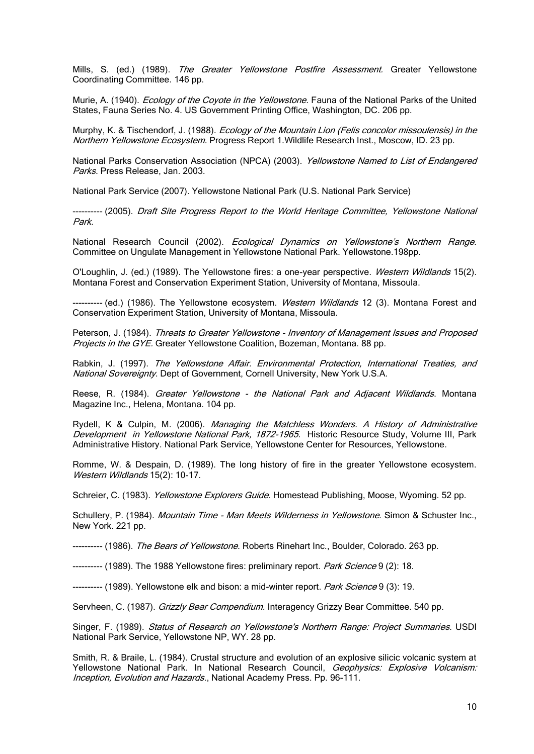Mills, S. (ed.) (1989). The Greater Yellowstone Postfire Assessment. Greater Yellowstone Coordinating Committee. 146 pp.

Murie, A. (1940). *Ecology of the Coyote in the Yellowstone*. Fauna of the National Parks of the United States, Fauna Series No. 4. US Government Printing Office, Washington, DC. 206 pp.

Murphy, K. & Tischendorf, J. (1988). *Ecology of the Mountain Lion (Felis concolor missoulensis) in the* Northern Yellowstone Ecosystem. Progress Report 1.Wildlife Research Inst., Moscow, ID. 23 pp.

National Parks Conservation Association (NPCA) (2003). Yellowstone Named to List of Endangered Parks. Press Release, Jan. 2003.

National Park Service (2007). Yellowstone National Park (U.S. National Park Service)

---------- (2005). Draft Site Progress Report to the World Heritage Committee, Yellowstone National Park.

National Research Council (2002). Ecological Dynamics on Yellowstone's Northern Range. Committee on Ungulate Management in Yellowstone National Park. Yellowstone.198pp.

O'Loughlin, J. (ed.) (1989). The Yellowstone fires: a one-year perspective. Western Wildlands 15(2). Montana Forest and Conservation Experiment Station, University of Montana, Missoula.

---------- (ed.) (1986). The Yellowstone ecosystem. *Western Wildlands* 12 (3). Montana Forest and Conservation Experiment Station, University of Montana, Missoula.

Peterson, J. (1984). Threats to Greater Yellowstone - Inventory of Management Issues and Proposed Projects in the GYE. Greater Yellowstone Coalition, Bozeman, Montana. 88 pp.

Rabkin, J. (1997). The Yellowstone Affair. Environmental Protection, International Treaties, and National Sovereignty. Dept of Government, Cornell University, New York U.S.A.

Reese, R. (1984). Greater Yellowstone - the National Park and Adjacent Wildlands. Montana Magazine Inc., Helena, Montana. 104 pp.

Rydell, K & Culpin, M. (2006). Managing the Matchless Wonders. A History of Administrative Development in Yellowstone National Park, 1872-1965. Historic Resource Study, Volume III, Park Administrative History. National Park Service, Yellowstone Center for Resources, Yellowstone.

Romme, W. & Despain, D. (1989). The long history of fire in the greater Yellowstone ecosystem. Western Wildlands 15(2): 10-17.

Schreier, C. (1983). *Yellowstone Explorers Guide*. Homestead Publishing, Moose, Wyoming, 52 pp.

Schullery, P. (1984). Mountain Time - Man Meets Wilderness in Yellowstone. Simon & Schuster Inc., New York. 221 pp.

---------- (1986). The Bears of Yellowstone. Roberts Rinehart Inc., Boulder, Colorado. 263 pp.

---------- (1989). The 1988 Yellowstone fires: preliminary report. Park Science 9 (2): 18.

---------- (1989). Yellowstone elk and bison: a mid-winter report. Park Science 9 (3): 19.

Servheen, C. (1987). Grizzly Bear Compendium. Interagency Grizzy Bear Committee. 540 pp.

Singer, F. (1989). Status of Research on Yellowstone's Northern Range: Project Summaries. USDI National Park Service, Yellowstone NP, WY. 28 pp.

Smith, R. & Braile, L. (1984). Crustal structure and evolution of an explosive silicic volcanic system at Yellowstone National Park. In National Research Council, Geophysics: Explosive Volcanism: Inception, Evolution and Hazards., National Academy Press. Pp. 96-111.